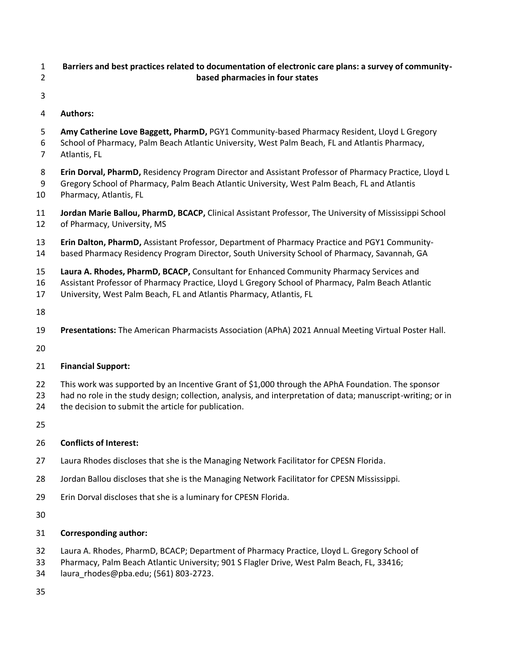- **Barriers and best practices related to documentation of electronic care plans: a survey of community-based pharmacies in four states**
- 
- **Authors:**
- **Amy Catherine Love Baggett, PharmD,** PGY1 Community-based Pharmacy Resident, Lloyd L Gregory School of Pharmacy, Palm Beach Atlantic University, West Palm Beach, FL and Atlantis Pharmacy,
- Atlantis, FL
- **Erin Dorval, PharmD,** Residency Program Director and Assistant Professor of Pharmacy Practice, Lloyd L
- Gregory School of Pharmacy, Palm Beach Atlantic University, West Palm Beach, FL and Atlantis Pharmacy, Atlantis, FL
- **Jordan Marie Ballou, PharmD, BCACP,** Clinical Assistant Professor, The University of Mississippi School of Pharmacy, University, MS
- **Erin Dalton, PharmD,** Assistant Professor, Department of Pharmacy Practice and PGY1 Community-
- based Pharmacy Residency Program Director, South University School of Pharmacy, Savannah, GA
- **Laura A. Rhodes, PharmD, BCACP,** Consultant for Enhanced Community Pharmacy Services and
- Assistant Professor of Pharmacy Practice, Lloyd L Gregory School of Pharmacy, Palm Beach Atlantic
- University, West Palm Beach, FL and Atlantis Pharmacy, Atlantis, FL
- 
- **Presentations:** The American Pharmacists Association (APhA) 2021 Annual Meeting Virtual Poster Hall.
- 
- **Financial Support:**
- This work was supported by an Incentive Grant of \$1,000 through the APhA Foundation. The sponsor
- had no role in the study design; collection, analysis, and interpretation of data; manuscript-writing; or in
- the decision to submit the article for publication.
- 

# **Conflicts of Interest:**

- Laura Rhodes discloses that she is the Managing Network Facilitator for CPESN Florida.
- Jordan Ballou discloses that she is the Managing Network Facilitator for CPESN Mississippi.
- Erin Dorval discloses that she is a luminary for CPESN Florida.
- 

# **Corresponding author:**

- Laura A. Rhodes, PharmD, BCACP; Department of Pharmacy Practice, Lloyd L. Gregory School of
- Pharmacy, Palm Beach Atlantic University; 901 S Flagler Drive, West Palm Beach, FL, 33416;
- laura\_rhodes@pba.edu; (561) 803-2723.
-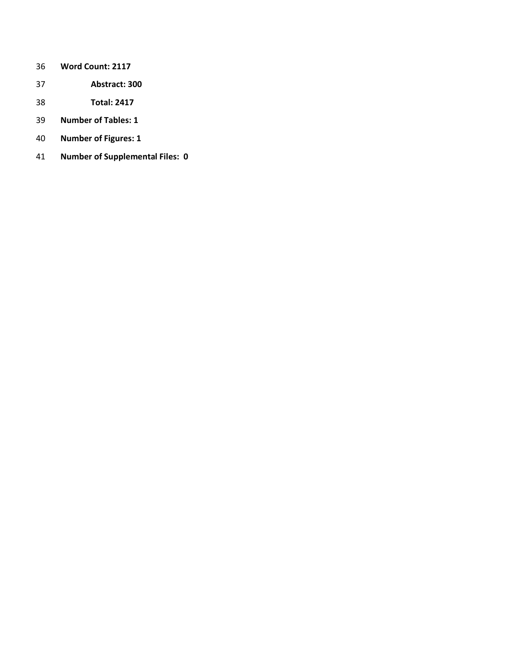- **Word Count: 2117**
- **Abstract: 300**
- **Total: 2417**
- **Number of Tables: 1**
- **Number of Figures: 1**
- **Number of Supplemental Files: 0**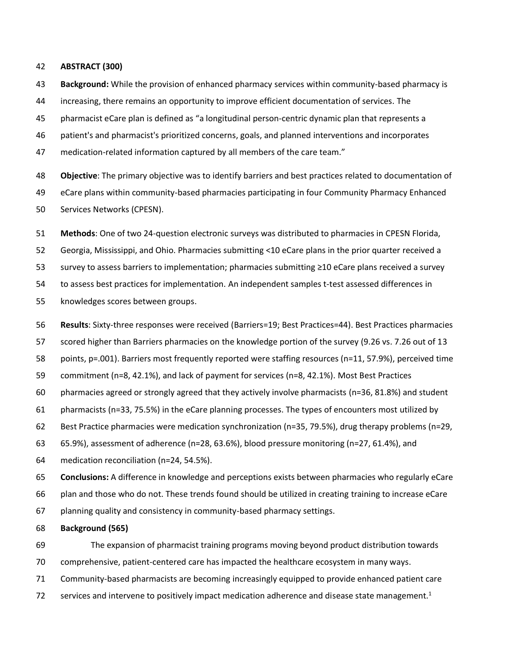#### **ABSTRACT (300)**

 **Background:** While the provision of enhanced pharmacy services within community-based pharmacy is increasing, there remains an opportunity to improve efficient documentation of services. The pharmacist eCare plan is defined as "a longitudinal person-centric dynamic plan that represents a patient's and pharmacist's prioritized concerns, goals, and planned interventions and incorporates 47 medication-related information captured by all members of the care team."

 **Objective**: The primary objective was to identify barriers and best practices related to documentation of eCare plans within community-based pharmacies participating in four Community Pharmacy Enhanced Services Networks (CPESN).

**Methods**: One of two 24-question electronic surveys was distributed to pharmacies in CPESN Florida,

Georgia, Mississippi, and Ohio. Pharmacies submitting <10 eCare plans in the prior quarter received a

survey to assess barriers to implementation; pharmacies submitting ≥10 eCare plans received a survey

to assess best practices for implementation. An independent samples t-test assessed differences in

knowledges scores between groups.

**Results**: Sixty-three responses were received (Barriers=19; Best Practices=44). Best Practices pharmacies

scored higher than Barriers pharmacies on the knowledge portion of the survey (9.26 vs. 7.26 out of 13

points, p=.001). Barriers most frequently reported were staffing resources (n=11, 57.9%), perceived time

commitment (n=8, 42.1%), and lack of payment for services (n=8, 42.1%). Most Best Practices

pharmacies agreed or strongly agreed that they actively involve pharmacists (n=36, 81.8%) and student

pharmacists (n=33, 75.5%) in the eCare planning processes. The types of encounters most utilized by

Best Practice pharmacies were medication synchronization (n=35, 79.5%), drug therapy problems (n=29,

65.9%), assessment of adherence (n=28, 63.6%), blood pressure monitoring (n=27, 61.4%), and

medication reconciliation (n=24, 54.5%).

**Conclusions:** A difference in knowledge and perceptions exists between pharmacies who regularly eCare

plan and those who do not. These trends found should be utilized in creating training to increase eCare

planning quality and consistency in community-based pharmacy settings.

**Background (565)**

 The expansion of pharmacist training programs moving beyond product distribution towards comprehensive, patient-centered care has impacted the healthcare ecosystem in many ways.

Community-based pharmacists are becoming increasingly equipped to provide enhanced patient care

72 services and intervene to positively impact medication adherence and disease state management.<sup>1</sup>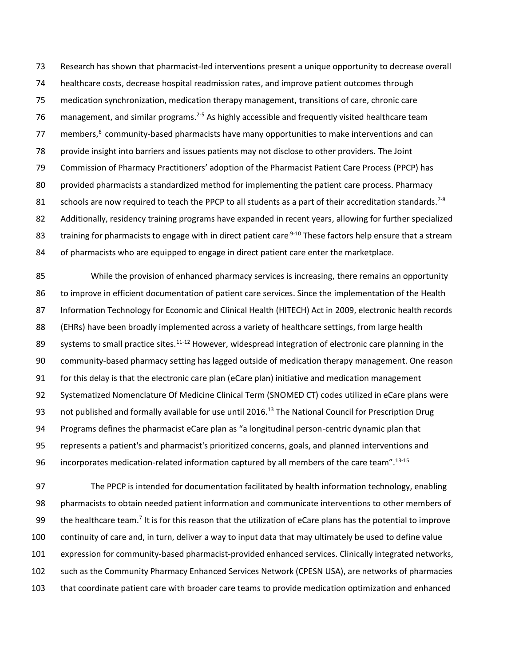Research has shown that pharmacist-led interventions present a unique opportunity to decrease overall healthcare costs, decrease hospital readmission rates, and improve patient outcomes through medication synchronization, medication therapy management, transitions of care, chronic care 76 management, and similar programs.<sup>2-5</sup> As highly accessible and frequently visited healthcare team 77 members, $6$  community-based pharmacists have many opportunities to make interventions and can provide insight into barriers and issues patients may not disclose to other providers. The Joint Commission of Pharmacy Practitioners' adoption of the Pharmacist Patient Care Process (PPCP) has provided pharmacists a standardized method for implementing the patient care process. Pharmacy 81 schools are now required to teach the PPCP to all students as a part of their accreditation standards.<sup>7-8</sup> Additionally, residency training programs have expanded in recent years, allowing for further specialized 83 training for pharmacists to engage with in direct patient care<sup>.9-10</sup> These factors help ensure that a stream 84 of pharmacists who are equipped to engage in direct patient care enter the marketplace.

 While the provision of enhanced pharmacy services is increasing, there remains an opportunity to improve in efficient documentation of patient care services. Since the implementation of the Health 87 Information Technology for Economic and Clinical Health (HITECH) Act in 2009, electronic health records (EHRs) have been broadly implemented across a variety of healthcare settings, from large health 89 systems to small practice sites.<sup>11-12</sup> However, widespread integration of electronic care planning in the community-based pharmacy setting has lagged outside of medication therapy management. One reason for this delay is that the electronic care plan (eCare plan) initiative and medication management Systematized Nomenclature Of Medicine Clinical Term (SNOMED CT) codes utilized in eCare plans were 93 not published and formally available for use until 2016.<sup>13</sup> The National Council for Prescription Drug Programs defines the pharmacist eCare plan as "a longitudinal person-centric dynamic plan that represents a patient's and pharmacist's prioritized concerns, goals, and planned interventions and 96 incorporates medication-related information captured by all members of the care team".<sup>13-15</sup>

 The PPCP is intended for documentation facilitated by health information technology, enabling pharmacists to obtain needed patient information and communicate interventions to other members of 99 the healthcare team.<sup>7</sup> It is for this reason that the utilization of eCare plans has the potential to improve continuity of care and, in turn, deliver a way to input data that may ultimately be used to define value expression for community-based pharmacist-provided enhanced services. Clinically integrated networks, such as the Community Pharmacy Enhanced Services Network (CPESN USA), are networks of pharmacies that coordinate patient care with broader care teams to provide medication optimization and enhanced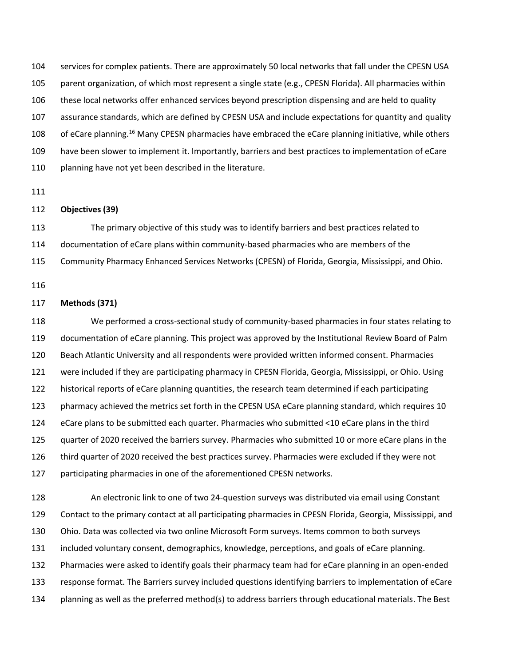services for complex patients. There are approximately 50 local networks that fall under the CPESN USA parent organization, of which most represent a single state (e.g., CPESN Florida). All pharmacies within these local networks offer enhanced services beyond prescription dispensing and are held to quality assurance standards, which are defined by CPESN USA and include expectations for quantity and quality 108 of eCare planning.<sup>16</sup> Many CPESN pharmacies have embraced the eCare planning initiative, while others have been slower to implement it. Importantly, barriers and best practices to implementation of eCare 110 planning have not yet been described in the literature.

## **Objectives (39)**

 The primary objective of this study was to identify barriers and best practices related to documentation of eCare plans within community-based pharmacies who are members of the Community Pharmacy Enhanced Services Networks (CPESN) of Florida, Georgia, Mississippi, and Ohio.

### **Methods (371)**

 We performed a cross-sectional study of community-based pharmacies in four states relating to documentation of eCare planning. This project was approved by the Institutional Review Board of Palm Beach Atlantic University and all respondents were provided written informed consent. Pharmacies were included if they are participating pharmacy in CPESN Florida, Georgia, Mississippi, or Ohio. Using historical reports of eCare planning quantities, the research team determined if each participating pharmacy achieved the metrics set forth in the CPESN USA eCare planning standard, which requires 10 eCare plans to be submitted each quarter. Pharmacies who submitted <10 eCare plans in the third quarter of 2020 received the barriers survey. Pharmacies who submitted 10 or more eCare plans in the third quarter of 2020 received the best practices survey. Pharmacies were excluded if they were not participating pharmacies in one of the aforementioned CPESN networks.

 An electronic link to one of two 24-question surveys was distributed via email using Constant Contact to the primary contact at all participating pharmacies in CPESN Florida, Georgia, Mississippi, and Ohio. Data was collected via two online Microsoft Form surveys. Items common to both surveys included voluntary consent, demographics, knowledge, perceptions, and goals of eCare planning. Pharmacies were asked to identify goals their pharmacy team had for eCare planning in an open-ended response format. The Barriers survey included questions identifying barriers to implementation of eCare planning as well as the preferred method(s) to address barriers through educational materials. The Best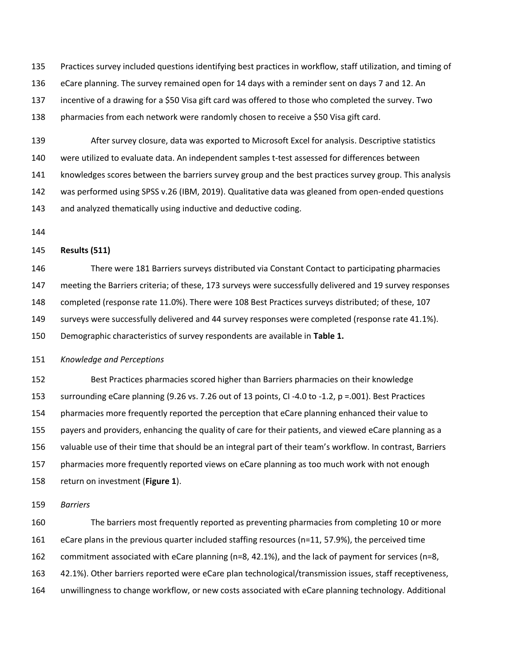Practices survey included questions identifying best practices in workflow, staff utilization, and timing of eCare planning. The survey remained open for 14 days with a reminder sent on days 7 and 12. An incentive of a drawing for a \$50 Visa gift card was offered to those who completed the survey. Two pharmacies from each network were randomly chosen to receive a \$50 Visa gift card.

 After survey closure, data was exported to Microsoft Excel for analysis. Descriptive statistics were utilized to evaluate data. An independent samples t-test assessed for differences between knowledges scores between the barriers survey group and the best practices survey group. This analysis was performed using SPSS v.26 (IBM, 2019). Qualitative data was gleaned from open-ended questions and analyzed thematically using inductive and deductive coding.

## **Results (511)**

 There were 181 Barriers surveys distributed via Constant Contact to participating pharmacies meeting the Barriers criteria; of these, 173 surveys were successfully delivered and 19 survey responses completed (response rate 11.0%). There were 108 Best Practices surveys distributed; of these, 107 surveys were successfully delivered and 44 survey responses were completed (response rate 41.1%). Demographic characteristics of survey respondents are available in **Table 1.**

#### *Knowledge and Perceptions*

 Best Practices pharmacies scored higher than Barriers pharmacies on their knowledge surrounding eCare planning (9.26 vs. 7.26 out of 13 points, CI -4.0 to -1.2, p =.001). Best Practices pharmacies more frequently reported the perception that eCare planning enhanced their value to payers and providers, enhancing the quality of care for their patients, and viewed eCare planning as a valuable use of their time that should be an integral part of their team's workflow. In contrast, Barriers pharmacies more frequently reported views on eCare planning as too much work with not enough return on investment (**Figure 1**).

*Barriers* 

 The barriers most frequently reported as preventing pharmacies from completing 10 or more eCare plans in the previous quarter included staffing resources (n=11, 57.9%), the perceived time commitment associated with eCare planning (n=8, 42.1%), and the lack of payment for services (n=8, 42.1%). Other barriers reported were eCare plan technological/transmission issues, staff receptiveness, unwillingness to change workflow, or new costs associated with eCare planning technology. Additional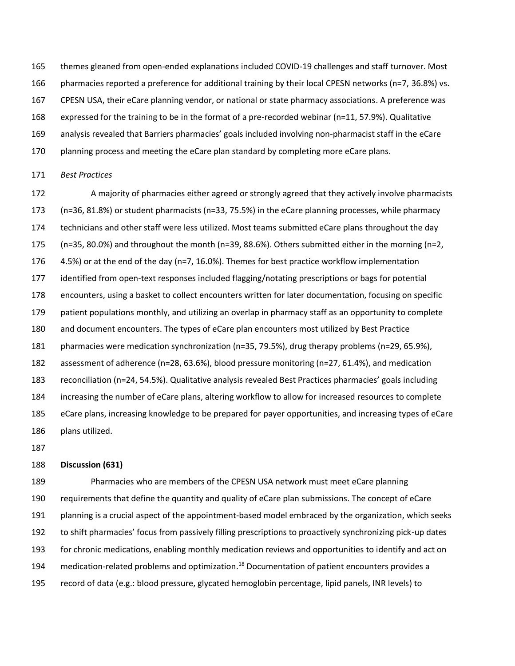themes gleaned from open-ended explanations included COVID-19 challenges and staff turnover. Most 166 pharmacies reported a preference for additional training by their local CPESN networks (n=7, 36.8%) vs. CPESN USA, their eCare planning vendor, or national or state pharmacy associations. A preference was expressed for the training to be in the format of a pre-recorded webinar (n=11, 57.9%). Qualitative analysis revealed that Barriers pharmacies' goals included involving non-pharmacist staff in the eCare 170 planning process and meeting the eCare plan standard by completing more eCare plans.

#### *Best Practices*

 A majority of pharmacies either agreed or strongly agreed that they actively involve pharmacists (n=36, 81.8%) or student pharmacists (n=33, 75.5%) in the eCare planning processes, while pharmacy technicians and other staff were less utilized. Most teams submitted eCare plans throughout the day (n=35, 80.0%) and throughout the month (n=39, 88.6%). Others submitted either in the morning (n=2, 4.5%) or at the end of the day (n=7, 16.0%). Themes for best practice workflow implementation identified from open-text responses included flagging/notating prescriptions or bags for potential encounters, using a basket to collect encounters written for later documentation, focusing on specific patient populations monthly, and utilizing an overlap in pharmacy staff as an opportunity to complete and document encounters. The types of eCare plan encounters most utilized by Best Practice pharmacies were medication synchronization (n=35, 79.5%), drug therapy problems (n=29, 65.9%), assessment of adherence (n=28, 63.6%), blood pressure monitoring (n=27, 61.4%), and medication reconciliation (n=24, 54.5%). Qualitative analysis revealed Best Practices pharmacies' goals including increasing the number of eCare plans, altering workflow to allow for increased resources to complete eCare plans, increasing knowledge to be prepared for payer opportunities, and increasing types of eCare plans utilized.

### **Discussion (631)**

 Pharmacies who are members of the CPESN USA network must meet eCare planning requirements that define the quantity and quality of eCare plan submissions. The concept of eCare planning is a crucial aspect of the appointment-based model embraced by the organization, which seeks to shift pharmacies' focus from passively filling prescriptions to proactively synchronizing pick-up dates for chronic medications, enabling monthly medication reviews and opportunities to identify and act on 194 medication-related problems and optimization.<sup>18</sup> Documentation of patient encounters provides a record of data (e.g.: blood pressure, glycated hemoglobin percentage, lipid panels, INR levels) to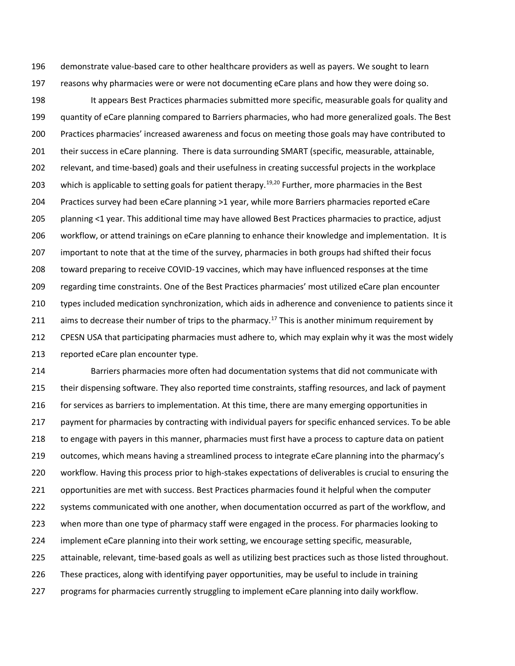demonstrate value-based care to other healthcare providers as well as payers. We sought to learn reasons why pharmacies were or were not documenting eCare plans and how they were doing so.

 It appears Best Practices pharmacies submitted more specific, measurable goals for quality and quantity of eCare planning compared to Barriers pharmacies, who had more generalized goals. The Best Practices pharmacies' increased awareness and focus on meeting those goals may have contributed to their success in eCare planning. There is data surrounding SMART (specific, measurable, attainable, relevant, and time-based) goals and their usefulness in creating successful projects in the workplace 203 which is applicable to setting goals for patient therapy.<sup>19,20</sup> Further, more pharmacies in the Best Practices survey had been eCare planning >1 year, while more Barriers pharmacies reported eCare planning <1 year. This additional time may have allowed Best Practices pharmacies to practice, adjust workflow, or attend trainings on eCare planning to enhance their knowledge and implementation. It is important to note that at the time of the survey, pharmacies in both groups had shifted their focus toward preparing to receive COVID-19 vaccines, which may have influenced responses at the time regarding time constraints. One of the Best Practices pharmacies' most utilized eCare plan encounter types included medication synchronization, which aids in adherence and convenience to patients since it 211 aims to decrease their number of trips to the pharmacy.<sup>17</sup> This is another minimum requirement by CPESN USA that participating pharmacies must adhere to, which may explain why it was the most widely reported eCare plan encounter type.

 Barriers pharmacies more often had documentation systems that did not communicate with their dispensing software. They also reported time constraints, staffing resources, and lack of payment for services as barriers to implementation. At this time, there are many emerging opportunities in payment for pharmacies by contracting with individual payers for specific enhanced services. To be able to engage with payers in this manner, pharmacies must first have a process to capture data on patient outcomes, which means having a streamlined process to integrate eCare planning into the pharmacy's workflow. Having this process prior to high-stakes expectations of deliverables is crucial to ensuring the opportunities are met with success. Best Practices pharmacies found it helpful when the computer systems communicated with one another, when documentation occurred as part of the workflow, and when more than one type of pharmacy staff were engaged in the process. For pharmacies looking to implement eCare planning into their work setting, we encourage setting specific, measurable, attainable, relevant, time-based goals as well as utilizing best practices such as those listed throughout. These practices, along with identifying payer opportunities, may be useful to include in training programs for pharmacies currently struggling to implement eCare planning into daily workflow.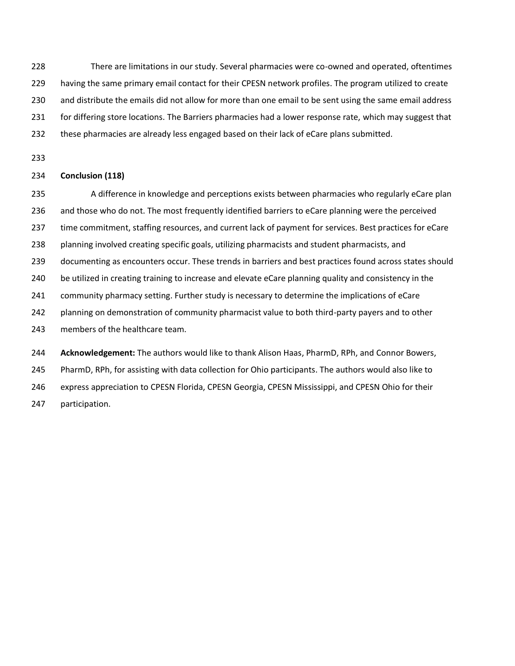There are limitations in our study. Several pharmacies were co-owned and operated, oftentimes 229 having the same primary email contact for their CPESN network profiles. The program utilized to create and distribute the emails did not allow for more than one email to be sent using the same email address for differing store locations. The Barriers pharmacies had a lower response rate, which may suggest that 232 these pharmacies are already less engaged based on their lack of eCare plans submitted.

## **Conclusion (118)**

 A difference in knowledge and perceptions exists between pharmacies who regularly eCare plan and those who do not. The most frequently identified barriers to eCare planning were the perceived time commitment, staffing resources, and current lack of payment for services. Best practices for eCare 238 planning involved creating specific goals, utilizing pharmacists and student pharmacists, and documenting as encounters occur. These trends in barriers and best practices found across states should be utilized in creating training to increase and elevate eCare planning quality and consistency in the community pharmacy setting. Further study is necessary to determine the implications of eCare planning on demonstration of community pharmacist value to both third-party payers and to other members of the healthcare team. **Acknowledgement:** The authors would like to thank Alison Haas, PharmD, RPh, and Connor Bowers, PharmD, RPh, for assisting with data collection for Ohio participants. The authors would also like to

 express appreciation to CPESN Florida, CPESN Georgia, CPESN Mississippi, and CPESN Ohio for their participation.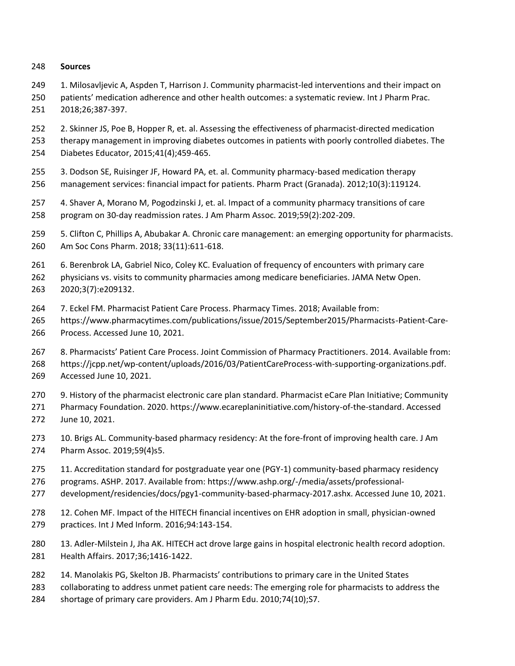## **Sources**

- 1. Milosavljevic A, Aspden T, Harrison J. Community pharmacist-led interventions and their impact on
- patients' medication adherence and other health outcomes: a systematic review. Int J Pharm Prac. 2018;26;387-397.
- 2. Skinner JS, Poe B, Hopper R, et. al. Assessing the effectiveness of pharmacist-directed medication therapy management in improving diabetes outcomes in patients with poorly controlled diabetes. The
- Diabetes Educator, 2015;41(4);459-465.
	- 3. Dodson SE, Ruisinger JF, Howard PA, et. al. Community pharmacy-based medication therapy management services: financial impact for patients. Pharm Pract (Granada). 2012;10(3):119124.
	- 4. Shaver A, Morano M, Pogodzinski J, et. al. Impact of a community pharmacy transitions of care program on 30-day readmission rates. J Am Pharm Assoc. 2019;59(2):202-209.
	- 5. Clifton C, Phillips A, Abubakar A. Chronic care management: an emerging opportunity for pharmacists. Am Soc Cons Pharm. 2018; 33(11):611-618.
	- 6. Berenbrok LA, Gabriel Nico, Coley KC. Evaluation of frequency of encounters with primary care
	- physicians vs. visits to community pharmacies among medicare beneficiaries. JAMA Netw Open. 2020;3(7):e209132.
	- 7. Eckel FM. Pharmacist Patient Care Process. Pharmacy Times. 2018; Available from:
	- https://www.pharmacytimes.com/publications/issue/2015/September2015/Pharmacists-Patient-Care-Process. Accessed June 10, 2021.
	- 8. Pharmacists' Patient Care Process. Joint Commission of Pharmacy Practitioners. 2014. Available from: https://jcpp.net/wp-content/uploads/2016/03/PatientCareProcess-with-supporting-organizations.pdf. Accessed June 10, 2021.
	- 9. History of the pharmacist electronic care plan standard. Pharmacist eCare Plan Initiative; Community
	- Pharmacy Foundation. 2020. https://www.ecareplaninitiative.com/history-of-the-standard. Accessed June 10, 2021.
	- 10. Brigs AL. Community-based pharmacy residency: At the fore-front of improving health care. J Am Pharm Assoc. 2019;59(4)s5.
	- 11. Accreditation standard for postgraduate year one (PGY-1) community-based pharmacy residency
	- programs. ASHP. 2017. Available from: https://www.ashp.org/-/media/assets/professional-
	- development/residencies/docs/pgy1-community-based-pharmacy-2017.ashx. Accessed June 10, 2021.
	- 12. Cohen MF. Impact of the HITECH financial incentives on EHR adoption in small, physician-owned practices. Int J Med Inform. 2016;94:143-154.
	- 13. Adler-Milstein J, Jha AK. HITECH act drove large gains in hospital electronic health record adoption. Health Affairs. 2017;36;1416-1422.
	- 14. Manolakis PG, Skelton JB. Pharmacists' contributions to primary care in the United States
	- collaborating to address unmet patient care needs: The emerging role for pharmacists to address the
	- shortage of primary care providers. Am J Pharm Edu. 2010;74(10);S7.